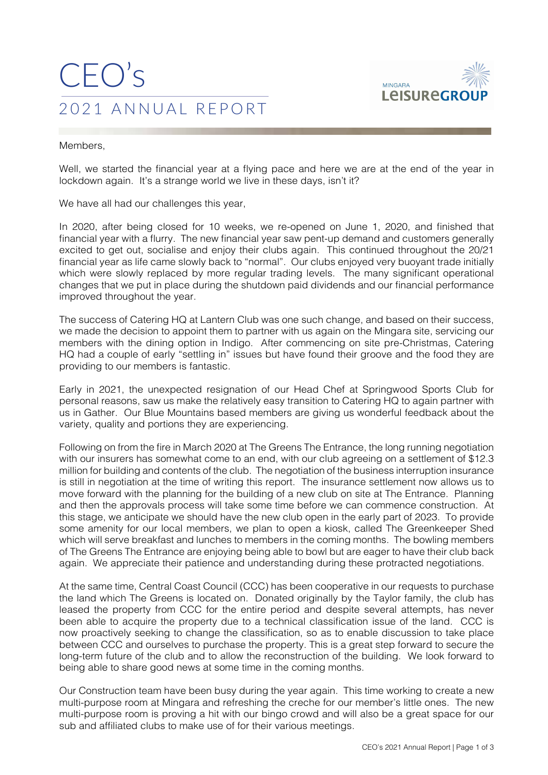## CEO's 2021 ANNUAL REPORT



Members,

Well, we started the financial year at a flying pace and here we are at the end of the year in lockdown again. It's a strange world we live in these days, isn't it?

We have all had our challenges this year,

In 2020, after being closed for 10 weeks, we re-opened on June 1, 2020, and finished that financial year with a flurry. The new financial year saw pent-up demand and customers generally excited to get out, socialise and enjoy their clubs again. This continued throughout the 20/21 financial year as life came slowly back to "normal". Our clubs enjoyed very buoyant trade initially which were slowly replaced by more regular trading levels. The many significant operational changes that we put in place during the shutdown paid dividends and our financial performance improved throughout the year.

The success of Catering HQ at Lantern Club was one such change, and based on their success, we made the decision to appoint them to partner with us again on the Mingara site, servicing our members with the dining option in Indigo. After commencing on site pre-Christmas, Catering HQ had a couple of early "settling in" issues but have found their groove and the food they are providing to our members is fantastic.

Early in 2021, the unexpected resignation of our Head Chef at Springwood Sports Club for personal reasons, saw us make the relatively easy transition to Catering HQ to again partner with us in Gather. Our Blue Mountains based members are giving us wonderful feedback about the variety, quality and portions they are experiencing.

Following on from the fire in March 2020 at The Greens The Entrance, the long running negotiation with our insurers has somewhat come to an end, with our club agreeing on a settlement of \$12.3 million for building and contents of the club. The negotiation of the business interruption insurance is still in negotiation at the time of writing this report. The insurance settlement now allows us to move forward with the planning for the building of a new club on site at The Entrance. Planning and then the approvals process will take some time before we can commence construction. At this stage, we anticipate we should have the new club open in the early part of 2023. To provide some amenity for our local members, we plan to open a kiosk, called The Greenkeeper Shed which will serve breakfast and lunches to members in the coming months. The bowling members of The Greens The Entrance are enjoying being able to bowl but are eager to have their club back again. We appreciate their patience and understanding during these protracted negotiations.

At the same time, Central Coast Council (CCC) has been cooperative in our requests to purchase the land which The Greens is located on. Donated originally by the Taylor family, the club has leased the property from CCC for the entire period and despite several attempts, has never been able to acquire the property due to a technical classification issue of the land. CCC is now proactively seeking to change the classification, so as to enable discussion to take place between CCC and ourselves to purchase the property. This is a great step forward to secure the long-term future of the club and to allow the reconstruction of the building. We look forward to being able to share good news at some time in the coming months.

Our Construction team have been busy during the year again. This time working to create a new multi-purpose room at Mingara and refreshing the creche for our member's little ones. The new multi-purpose room is proving a hit with our bingo crowd and will also be a great space for our sub and affiliated clubs to make use of for their various meetings.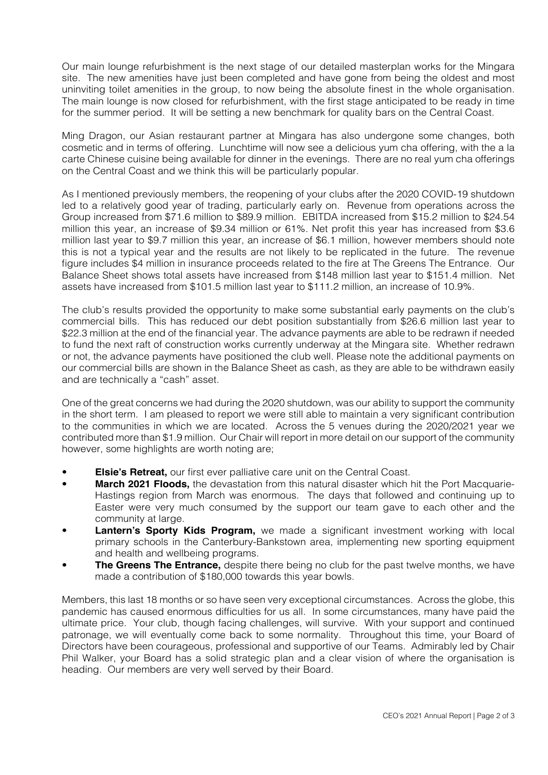Our main lounge refurbishment is the next stage of our detailed masterplan works for the Mingara site. The new amenities have just been completed and have gone from being the oldest and most uninviting toilet amenities in the group, to now being the absolute finest in the whole organisation. The main lounge is now closed for refurbishment, with the first stage anticipated to be ready in time for the summer period. It will be setting a new benchmark for quality bars on the Central Coast.

Ming Dragon, our Asian restaurant partner at Mingara has also undergone some changes, both cosmetic and in terms of offering. Lunchtime will now see a delicious yum cha offering, with the a la carte Chinese cuisine being available for dinner in the evenings. There are no real yum cha offerings on the Central Coast and we think this will be particularly popular.

As I mentioned previously members, the reopening of your clubs after the 2020 COVID-19 shutdown led to a relatively good year of trading, particularly early on. Revenue from operations across the Group increased from \$71.6 million to \$89.9 million. EBITDA increased from \$15.2 million to \$24.54 million this year, an increase of \$9.34 million or 61%. Net profit this year has increased from \$3.6 million last year to \$9.7 million this year, an increase of \$6.1 million, however members should note this is not a typical year and the results are not likely to be replicated in the future. The revenue figure includes \$4 million in insurance proceeds related to the fire at The Greens The Entrance. Our Balance Sheet shows total assets have increased from \$148 million last year to \$151.4 million. Net assets have increased from \$101.5 million last year to \$111.2 million, an increase of 10.9%.

The club's results provided the opportunity to make some substantial early payments on the club's commercial bills. This has reduced our debt position substantially from \$26.6 million last year to \$22.3 million at the end of the financial year. The advance payments are able to be redrawn if needed to fund the next raft of construction works currently underway at the Mingara site. Whether redrawn or not, the advance payments have positioned the club well. Please note the additional payments on our commercial bills are shown in the Balance Sheet as cash, as they are able to be withdrawn easily and are technically a "cash" asset.

One of the great concerns we had during the 2020 shutdown, was our ability to support the community in the short term. I am pleased to report we were still able to maintain a very significant contribution to the communities in which we are located. Across the 5 venues during the 2020/2021 year we contributed more than \$1.9 million. Our Chair will report in more detail on our support of the community however, some highlights are worth noting are;

- **Elsie's Retreat.** our first ever palliative care unit on the Central Coast.
- **March 2021 Floods,** the devastation from this natural disaster which hit the Port Macquarie-Hastings region from March was enormous. The days that followed and continuing up to Easter were very much consumed by the support our team gave to each other and the community at large.
- **Lantern's Sporty Kids Program,** we made a significant investment working with local primary schools in the Canterbury-Bankstown area, implementing new sporting equipment and health and wellbeing programs.
- **The Greens The Entrance,** despite there being no club for the past twelve months, we have made a contribution of \$180,000 towards this year bowls.

Members, this last 18 months or so have seen very exceptional circumstances. Across the globe, this pandemic has caused enormous difficulties for us all. In some circumstances, many have paid the ultimate price. Your club, though facing challenges, will survive. With your support and continued patronage, we will eventually come back to some normality. Throughout this time, your Board of Directors have been courageous, professional and supportive of our Teams. Admirably led by Chair Phil Walker, your Board has a solid strategic plan and a clear vision of where the organisation is heading. Our members are very well served by their Board.